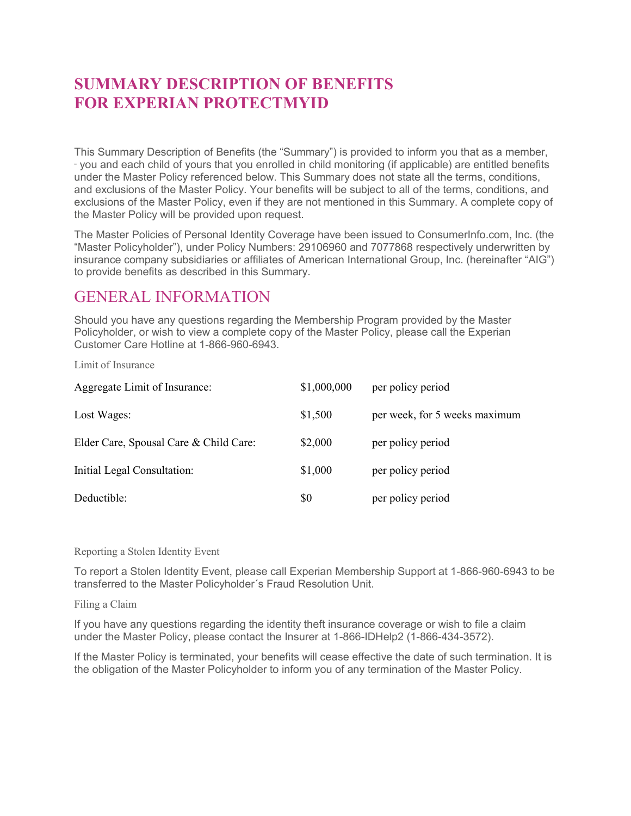## **SUMMARY DESCRIPTION OF BENEFITS FOR EXPERIAN PROTECTMYID**

This Summary Description of Benefits (the "Summary") is provided to inform you that as a member, - you and each child of yours that you enrolled in child monitoring (if applicable) are entitled benefits under the Master Policy referenced below. This Summary does not state all the terms, conditions, and exclusions of the Master Policy. Your benefits will be subject to all of the terms, conditions, and exclusions of the Master Policy, even if they are not mentioned in this Summary. A complete copy of the Master Policy will be provided upon request.

The Master Policies of Personal Identity Coverage have been issued to ConsumerInfo.com, Inc. (the "Master Policyholder"), under Policy Numbers: 29106960 and 7077868 respectively underwritten by insurance company subsidiaries or affiliates of American International Group, Inc. (hereinafter "AIG") to provide benefits as described in this Summary.

## GENERAL INFORMATION

Should you have any questions regarding the Membership Program provided by the Master Policyholder, or wish to view a complete copy of the Master Policy, please call the Experian Customer Care Hotline at 1-866-960-6943.

Limit of Insurance

| Aggregate Limit of Insurance:          | \$1,000,000 | per policy period             |
|----------------------------------------|-------------|-------------------------------|
| Lost Wages:                            | \$1,500     | per week, for 5 weeks maximum |
| Elder Care, Spousal Care & Child Care: | \$2,000     | per policy period             |
| Initial Legal Consultation:            | \$1,000     | per policy period             |
| Deductible:                            | \$0         | per policy period             |

Reporting a Stolen Identity Event

To report a Stolen Identity Event, please call Experian Membership Support at 1-866-960-6943 to be transferred to the Master Policyholder´s Fraud Resolution Unit.

Filing a Claim

If you have any questions regarding the identity theft insurance coverage or wish to file a claim under the Master Policy, please contact the Insurer at 1-866-IDHelp2 (1-866-434-3572).

If the Master Policy is terminated, your benefits will cease effective the date of such termination. It is the obligation of the Master Policyholder to inform you of any termination of the Master Policy.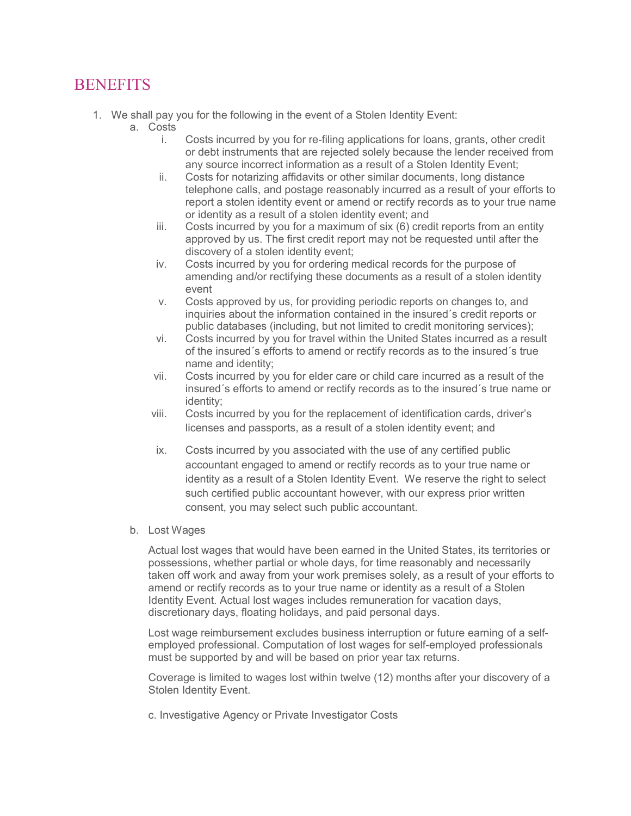## **BENEFITS**

- 1. We shall pay you for the following in the event of a Stolen Identity Event:
	- a. Costs
		- i. Costs incurred by you for re-filing applications for loans, grants, other credit or debt instruments that are rejected solely because the lender received from any source incorrect information as a result of a Stolen Identity Event;
		- ii. Costs for notarizing affidavits or other similar documents, long distance telephone calls, and postage reasonably incurred as a result of your efforts to report a stolen identity event or amend or rectify records as to your true name or identity as a result of a stolen identity event; and
		- iii. Costs incurred by you for a maximum of six (6) credit reports from an entity approved by us. The first credit report may not be requested until after the discovery of a stolen identity event;
		- iv. Costs incurred by you for ordering medical records for the purpose of amending and/or rectifying these documents as a result of a stolen identity event
		- v. Costs approved by us, for providing periodic reports on changes to, and inquiries about the information contained in the insured´s credit reports or public databases (including, but not limited to credit monitoring services);
		- vi. Costs incurred by you for travel within the United States incurred as a result of the insured´s efforts to amend or rectify records as to the insured´s true name and identity;
		- vii. Costs incurred by you for elder care or child care incurred as a result of the insured´s efforts to amend or rectify records as to the insured´s true name or identity;
		- viii. Costs incurred by you for the replacement of identification cards, driver's licenses and passports, as a result of a stolen identity event; and
		- ix. Costs incurred by you associated with the use of any certified public accountant engaged to amend or rectify records as to your true name or identity as a result of a Stolen Identity Event. We reserve the right to select such certified public accountant however, with our express prior written consent, you may select such public accountant.
	- b. Lost Wages

Actual lost wages that would have been earned in the United States, its territories or possessions, whether partial or whole days, for time reasonably and necessarily taken off work and away from your work premises solely, as a result of your efforts to amend or rectify records as to your true name or identity as a result of a Stolen Identity Event. Actual lost wages includes remuneration for vacation days, discretionary days, floating holidays, and paid personal days.

Lost wage reimbursement excludes business interruption or future earning of a selfemployed professional. Computation of lost wages for self-employed professionals must be supported by and will be based on prior year tax returns.

Coverage is limited to wages lost within twelve (12) months after your discovery of a Stolen Identity Event.

c. Investigative Agency or Private Investigator Costs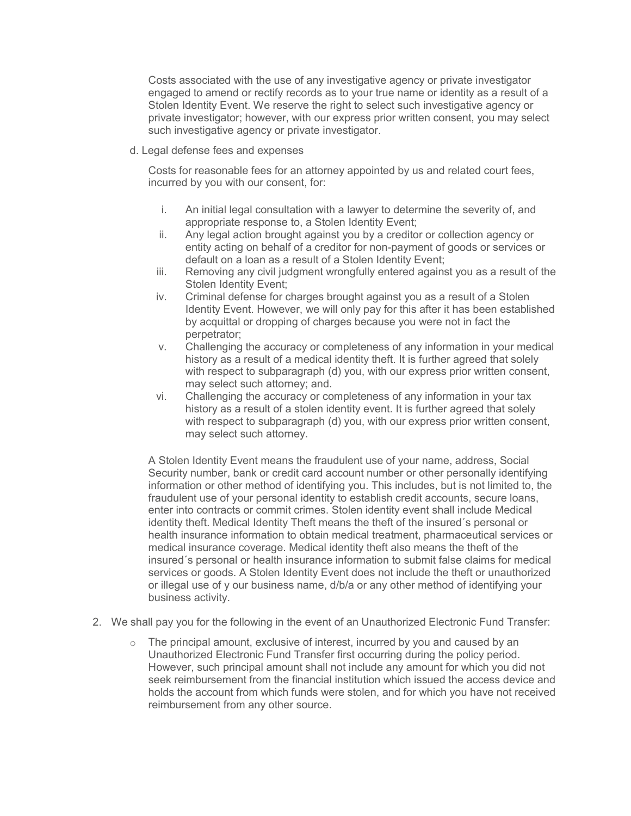Costs associated with the use of any investigative agency or private investigator engaged to amend or rectify records as to your true name or identity as a result of a Stolen Identity Event. We reserve the right to select such investigative agency or private investigator; however, with our express prior written consent, you may select such investigative agency or private investigator.

d. Legal defense fees and expenses

Costs for reasonable fees for an attorney appointed by us and related court fees, incurred by you with our consent, for:

- i. An initial legal consultation with a lawyer to determine the severity of, and appropriate response to, a Stolen Identity Event;
- ii. Any legal action brought against you by a creditor or collection agency or entity acting on behalf of a creditor for non-payment of goods or services or default on a loan as a result of a Stolen Identity Event;
- iii. Removing any civil judgment wrongfully entered against you as a result of the Stolen Identity Event;
- iv. Criminal defense for charges brought against you as a result of a Stolen Identity Event. However, we will only pay for this after it has been established by acquittal or dropping of charges because you were not in fact the perpetrator;
- v. Challenging the accuracy or completeness of any information in your medical history as a result of a medical identity theft. It is further agreed that solely with respect to subparagraph (d) you, with our express prior written consent, may select such attorney; and.
- vi. Challenging the accuracy or completeness of any information in your tax history as a result of a stolen identity event. It is further agreed that solely with respect to subparagraph (d) you, with our express prior written consent, may select such attorney.

A Stolen Identity Event means the fraudulent use of your name, address, Social Security number, bank or credit card account number or other personally identifying information or other method of identifying you. This includes, but is not limited to, the fraudulent use of your personal identity to establish credit accounts, secure loans, enter into contracts or commit crimes. Stolen identity event shall include Medical identity theft. Medical Identity Theft means the theft of the insured´s personal or health insurance information to obtain medical treatment, pharmaceutical services or medical insurance coverage. Medical identity theft also means the theft of the insured´s personal or health insurance information to submit false claims for medical services or goods. A Stolen Identity Event does not include the theft or unauthorized or illegal use of y our business name, d/b/a or any other method of identifying your business activity.

- 2. We shall pay you for the following in the event of an Unauthorized Electronic Fund Transfer:
	- $\circ$  The principal amount, exclusive of interest, incurred by you and caused by an Unauthorized Electronic Fund Transfer first occurring during the policy period. However, such principal amount shall not include any amount for which you did not seek reimbursement from the financial institution which issued the access device and holds the account from which funds were stolen, and for which you have not received reimbursement from any other source.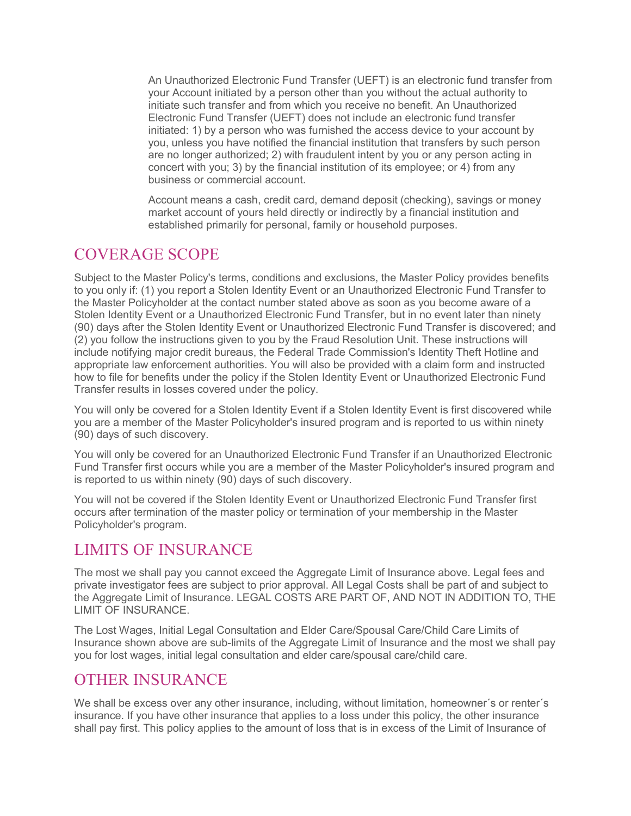An Unauthorized Electronic Fund Transfer (UEFT) is an electronic fund transfer from your Account initiated by a person other than you without the actual authority to initiate such transfer and from which you receive no benefit. An Unauthorized Electronic Fund Transfer (UEFT) does not include an electronic fund transfer initiated: 1) by a person who was furnished the access device to your account by you, unless you have notified the financial institution that transfers by such person are no longer authorized; 2) with fraudulent intent by you or any person acting in concert with you; 3) by the financial institution of its employee; or 4) from any business or commercial account.

Account means a cash, credit card, demand deposit (checking), savings or money market account of yours held directly or indirectly by a financial institution and established primarily for personal, family or household purposes.

#### COVERAGE SCOPE

Subject to the Master Policy's terms, conditions and exclusions, the Master Policy provides benefits to you only if: (1) you report a Stolen Identity Event or an Unauthorized Electronic Fund Transfer to the Master Policyholder at the contact number stated above as soon as you become aware of a Stolen Identity Event or a Unauthorized Electronic Fund Transfer, but in no event later than ninety (90) days after the Stolen Identity Event or Unauthorized Electronic Fund Transfer is discovered; and (2) you follow the instructions given to you by the Fraud Resolution Unit. These instructions will include notifying major credit bureaus, the Federal Trade Commission's Identity Theft Hotline and appropriate law enforcement authorities. You will also be provided with a claim form and instructed how to file for benefits under the policy if the Stolen Identity Event or Unauthorized Electronic Fund Transfer results in losses covered under the policy.

You will only be covered for a Stolen Identity Event if a Stolen Identity Event is first discovered while you are a member of the Master Policyholder's insured program and is reported to us within ninety (90) days of such discovery.

You will only be covered for an Unauthorized Electronic Fund Transfer if an Unauthorized Electronic Fund Transfer first occurs while you are a member of the Master Policyholder's insured program and is reported to us within ninety (90) days of such discovery.

You will not be covered if the Stolen Identity Event or Unauthorized Electronic Fund Transfer first occurs after termination of the master policy or termination of your membership in the Master Policyholder's program.

## LIMITS OF INSURANCE

The most we shall pay you cannot exceed the Aggregate Limit of Insurance above. Legal fees and private investigator fees are subject to prior approval. All Legal Costs shall be part of and subject to the Aggregate Limit of Insurance. LEGAL COSTS ARE PART OF, AND NOT IN ADDITION TO, THE LIMIT OF INSURANCE.

The Lost Wages, Initial Legal Consultation and Elder Care/Spousal Care/Child Care Limits of Insurance shown above are sub-limits of the Aggregate Limit of Insurance and the most we shall pay you for lost wages, initial legal consultation and elder care/spousal care/child care.

### OTHER INSURANCE

We shall be excess over any other insurance, including, without limitation, homeowner's or renter's insurance. If you have other insurance that applies to a loss under this policy, the other insurance shall pay first. This policy applies to the amount of loss that is in excess of the Limit of Insurance of